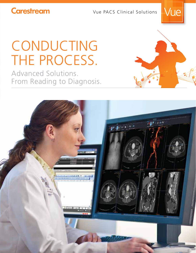**Carestream** 

Vue PACS Clinical Solutions



# CONDUCTING THE PROCESS.

Advanced Solutions. From Reading to Diagnosis.



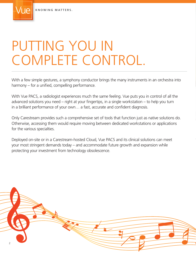# PUTTING YOU IN COMPLETE CONTROL.

With a few simple gestures, a symphony conductor brings the many instruments in an orchestra into  $harmony - for a unified, compelling performance.$ 

With Vue PACS, a radiologist experiences much the same feeling. Vue puts you in control of all the advanced solutions you need – right at your fingertips, in a single workstation – to help you turn in a brilliant performance of your own... a fast, accurate and confident diagnosis.

Only Carestream provides such a comprehensive set of tools that function just as native solutions do. Otherwise, accessing them would require moving between dedicated workstations or applications for the various specialties.

Deployed on-site or in a Carestream-hosted Cloud, Vue PACS and its clinical solutions can meet your most stringent demands today – and accommodate future growth and expansion while protecting your investment from technology obsolescence.

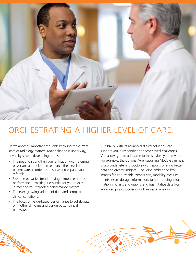

## ORCHESTRATING A HIGHER LEVEL OF CARE.

Here's another important thought: knowing the current state of radiology matters. Major change is underway, driven by several developing trends:

- The need to strengthen your affiliation with referring physicians and help them enhance their level of patient care, in order to preserve and expand your referrals.
- Plus, the pervasive trend of tying reimbursement to performance – making it essential for you to excel in meeting your targeted performance metrics.
- The ever-growing volume of data and complex clinical conditions.
- The focus on value-based performance to collaborate with other clinicians and design better clinical pathways.

Vue PACS, with its advanced clinical solutions, can support you in responding to these critical challenges. Vue allows you to add value to the services you provide. For example, the optional Vue Reporting Module can help you provide referring doctors with reports offering better data and greater insights – including embedded key images for side-by-side comparison, modality measurements, exam dosage information, tumor trending information in charts and graphs, and quantitative data from advanced post-processing such as vessel analysis.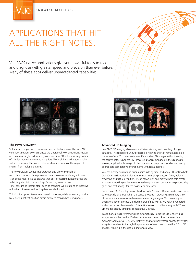## APPLICATIONS THAT HIT ALL THE RIGHT NOTES.

Vue PACS native applications give you powerful tools to read and diagnose with greater speed and precision than ever before. Many of these apps deliver unprecedented capabilities.



#### **The PowerViewer™**

Volumetric comparisons have never been so fast and easy. The Vue PACS volumetric PowerViewer enhances the traditional two-dimensional viewer and creates a single, virtual study with real-time 3D volumetric registration of all relevant studies (current and prior). This is all handled automatically within the viewer. The system also synchronizes views of the region of interest from multiple data sets.

The PowerViewer speeds interpretation and allows multiplanar reconstruction, vascular representation and volume rendering with one click of the mouse. It also ensures that post-processing functionalities are fully integrated into the radiologist's working environment.

Time-consuming interim steps such as changing workstations or extensive uploading of extensive imaging data are eliminated.

This all adds up to a faster interpretation process, while enhancing quality by reducing patient position errors between scans when using priors.



#### **Advanced 3D Imaging**

Vue PACS 3D imaging allows more efficient viewing and handling of huge data sets. The speed of our 3D protocols is nothing short of remarkable. So is the ease of use. You can create, modify and view 3D images without leaving the source data. Advanced 3D-processing tools embedded in the diagnostic viewing application leverage display protocols to preprocess studies and set up appropriate comparative environments with relevant priors.

You can display current and prior studies side-by-side, and apply 3D tools to both. Our 3D Analysis option includes maximum intensity projection (MIP), volume rendering and tissue definition. These capabilities and many others help create an optimal working environment for radiologists – and can generate productivity gains and cost savings for the hospital or enterprise.

Robust Vue PACS display protocols allow both 2D- and 3D-rendered images to be automatically displayed when the series is loaded – providing a summary view of the entire anatomy as well as cross-referencing images. You can apply an extensive array of protocols, including predefined MIP, MPR, volume rendered and other protocols as needed. This ability to work simultaneously with 2D and 3D images greatly simplifies comparative viewing.

In addition, a cross-referencing line automatically tracks the 3D rendering as images are scrolled in the 2D view. Automated one-click vessel analysis is available for major vessels. Alternatively, and for other vessels, an intuitive vesselanalysis wizard walks through the placement of seed points on either 2D or 3D images, resulting in the desired anatomical view.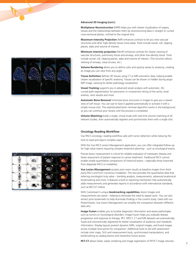

#### **Advanced 3D Imaging (cont.)**

**Multiplanar Reconstruction** (MPR) helps you with clearer visualization of organs, tissues and the relationships between them by reconstructing data in straight or curved cross-sectional planes, inclined to the original slice.

**Maximum Intensity Projection** (MIP) enhances contrast to let you view vascular structures and other high-density tissue more easily. Tools include swivel, roll, clipping planes, slabs and volume of interest.

**Minimum intensity projection** (MinIP) enhances contrast for clearer viewing of vascular structures, pulmonary tissue and airways, and other low-density tissue. Tools include swivel, roll, clipping planes, slabs and volume of interest. (This function allows viewing of airways, nasal sinuses, etc.)

**Volume Rendering** allows you to define color and opacity values to anatomy, creating an image you can view from any angle.

**Tissue Definition** defines 3D tissues using CT or MR volumetric data, helping enable clearer visualization of specific anatomy. Tissues can be shown or hidden during angio MIP image-viewing for better pathology visualization.

**Vessel Tracking** supports you in advanced vessel analysis with automatic, 3D, curved-path segmentation for panoramic or crosssection slicing of the aorta, renal arteries, neck vessels and more.

**Automatic Bone Removal** minimizes bone structures in images to give you a clearer view of soft tissue. You can opt to have it applied automatically or activate it with a simple mouse click. The sophisticated bone-removal algorithm works in the background, so you can continue your review until the process is completed.

**Volume Matching** builds a single, virtual study with real-time volume matching of all relevant studies, then automatically registers and synchronizes them with a single click.

#### **Oncology Reading Workflow**

Vue PACS oncology-reading workflow aids with tumor detection while reducing the time to read and report complex cases.

With the Vue PACS Lesion Management application, you can offer integrated follow-up for high-value exams requiring complex treatment planning – such as oncological exams.

Precise lesion measurement is critical for reliable evaluation of metastatic disease and faster assessment of patient response to cancer treatment. Traditional PACS cannot enable simple quantitative comparisons of historical exams – especially those imported from disparate PACS or modalities.

**Vue Lesion Management** accepts prior exam results as baseline images from thirdparty PACS and from numerous modalities. This tool provides the quantitative data that referring oncologists truly value – trending analysis, measurements, advanced anatomical bookmarking and more. It features a built-in reporting mechanism that automatically adds measurements and generates reports in accordance with international standards, such as REC!ST criteria.

With Carestream's unique **bookmarking capabilities,** lesion images and measurements are saved – helping to eliminate the need to repeat work. You can also extract prior bookmarks to help illuminate findings in the current study. Used with our PowerViewer, Vue Lesion Management can simplify the comparison between different data sets.

**Image Fusion** enables you to localize diagnostic information and assess pathologies such as tumors or neurological disorders. Image Fusion helps you evaluate disease progression and response to therapy. PET, SPECT, CT and MR datasets are automatically fused and volumetrically registered for better visualization of anatomic and metabolic information. Display layouts present dynamic MIPs, original images, and fused images across multiple time points for comparison. Additional tools to aid with assessment include color maps, SUV and measurement tools, synchronized manipulations, and bookmarking to catalog lesions and streamline future access.

**PET-CT** allows faster, easier rendering and image registration of PET/CT image volumes.

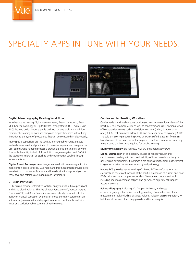# SPECIALTY APPS IN TUNE WITH YOUR NEEDS.



#### **Digital Mammography Reading Workflow**

Whether you're reading Digital Mammograms, Breast Ultrasound, Breast MRI, General Radiology or Digital Breast Tomosynthesis (DBT) exams, Vue PACS lets you do it all from a single desktop. Unique tools and workflow optimize the reading of both screening and diagnostic exams without any limitation to the types of procedures that can be compared simultaneously.

Many special capabilities are included. Mammography images are automatically same sized and positioned to minimize any manual manipulation. User configurable hanging protocols provide an efficient single click workflow with the ability to build full resolution image navigation and CAD into the sequence. Priors can be stacked and synchronously scrolled through for comparison.

**Digital Breast Tomosynthesis** images are read with ease using auto cine mode or self-paced scrolling. Slab mode and thickness presets provide better visualization of micro-calcifications and low-density findings. And you can easily save and catalog your markups and key images.

#### **CT Brain Perfusion**

CT Perfusion provides interactive tools for analyzing tissue flow (perfusion) and tissue blood volume. The Artrial Input Function (AIF), Venous Output Function (VOF) and Brain Centerline are automatically detected with the ability for manual correction by the user. Blood perfusion parameters are automatically calculated and displayed as a set of user friendly perfusion maps and perfusion tables summerizing the results.

#### **Cardiovascular Reading Workflow**

Cardiac review and analysis tools provide you with cross-sectional views of the heart axis, four chamber views, as well as panoramic and cross-sectional views of blood/cardiac vessels such as the left main artery (LMA), right coronary artery (RCA), left circumflex artery (LCX) and posterior descending artery (PDA). The calcium-scoring module helps you analyze calcified plaque in five main blood vessels of the heart, while the cage-removal function removes anatomy areas around the heart not required for cardiac viewing.

**Multiframe Display** lets you view NM, US and angiography (XA).

**Digital Subtraction** of angiography images enhances vascular and cardiovascular reading with improved visibility of blood vessels in a bony or dense tissue environment. It subtracts a pre-contrast image from post-contrast images to visualize the vascular anatomy and pathology.

**Native ECG** provides native viewing of 12-lead ECG waveforms to assess electrical and muscular functions of the heart. Comparison of current and prior ECGs helps ensure a comprehensive view. Various lead layouts and tools including line measurement, caliper, and gain/speed adjustments support accurate analysis.

**Echocardiography** Including 2D, Doppler M-Mode, and stress echocardiography offer native cardiology reading. Comprehensive offline measurement tools including distance, volume, velocity, pressure gradient, PR half time, slope, and others help provide additional analysis.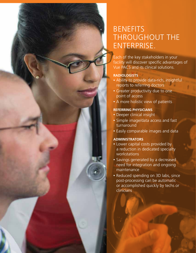### **BENEFITS** THROUGHOUT THE ENTERPRISE.

Each of the key stakeholders in your facility will discover specific advantages of Vue PACS and its clinical solutions.

### **RADIOLOGISTS**

- Ability to provide data-rich, insightful reports to referring doctors
- Greater productivity due to one point of access
- A more holistic view of patients

### **REFERRING PHYSICIANS**

- Deeper clinical insight
- Simple image/data access and fast turnaround
- Easily comparable images and data

### **ADMINISTRATORS**

- Lower capital costs provided by a reduction in dedicated specialty workstations
- Savings generated by a decreased need for integration and ongoing maintenance
- Reduced spending on 3D labs, since post-processing can be automatic or accomplished quickly by techs or clinicians